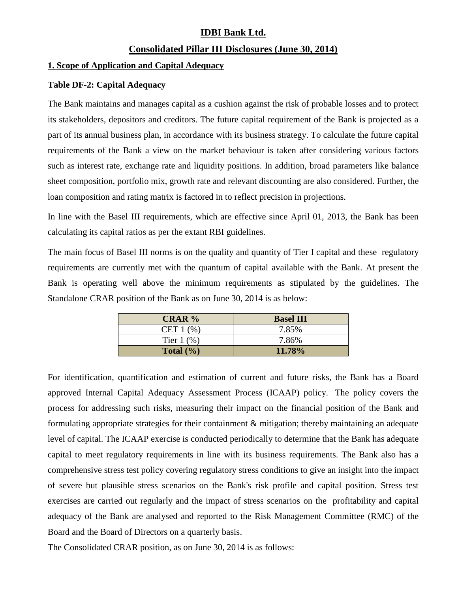## **IDBI Bank Ltd.**

## **Consolidated Pillar III Disclosures (June 30, 2014)**

### **1. Scope of Application and Capital Adequacy**

### **Table DF-2: Capital Adequacy**

The Bank maintains and manages capital as a cushion against the risk of probable losses and to protect its stakeholders, depositors and creditors. The future capital requirement of the Bank is projected as a part of its annual business plan, in accordance with its business strategy. To calculate the future capital requirements of the Bank a view on the market behaviour is taken after considering various factors such as interest rate, exchange rate and liquidity positions. In addition, broad parameters like balance sheet composition, portfolio mix, growth rate and relevant discounting are also considered. Further, the loan composition and rating matrix is factored in to reflect precision in projections.

In line with the Basel III requirements, which are effective since April 01, 2013, the Bank has been calculating its capital ratios as per the extant RBI guidelines.

The main focus of Basel III norms is on the quality and quantity of Tier I capital and these regulatory requirements are currently met with the quantum of capital available with the Bank. At present the Bank is operating well above the minimum requirements as stipulated by the guidelines. The Standalone CRAR position of the Bank as on June 30, 2014 is as below:

| <b>CRAR</b> %         | <b>Basel III</b> |
|-----------------------|------------------|
| CET $1$ $%$ )         | 7.85%            |
| Tier $1\ (\%)$        | 7.86%            |
| Total $(\frac{6}{6})$ | 11.78%           |

For identification, quantification and estimation of current and future risks, the Bank has a Board approved Internal Capital Adequacy Assessment Process (ICAAP) policy. The policy covers the process for addressing such risks, measuring their impact on the financial position of the Bank and formulating appropriate strategies for their containment & mitigation; thereby maintaining an adequate level of capital. The ICAAP exercise is conducted periodically to determine that the Bank has adequate capital to meet regulatory requirements in line with its business requirements. The Bank also has a comprehensive stress test policy covering regulatory stress conditions to give an insight into the impact of severe but plausible stress scenarios on the Bank's risk profile and capital position. Stress test exercises are carried out regularly and the impact of stress scenarios on the profitability and capital adequacy of the Bank are analysed and reported to the Risk Management Committee (RMC) of the Board and the Board of Directors on a quarterly basis.

The Consolidated CRAR position, as on June 30, 2014 is as follows: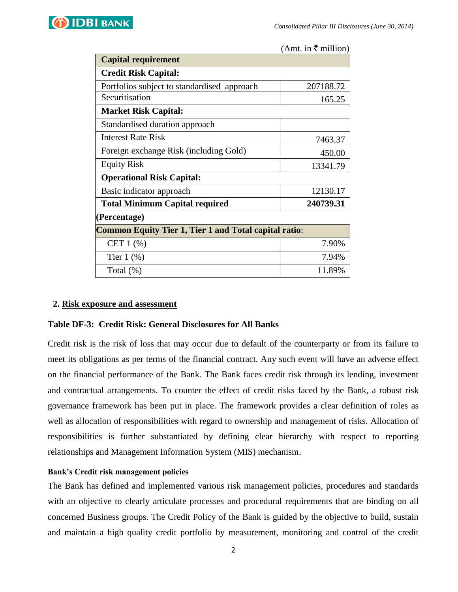

(Amt. in  $\bar{\tau}$  million)

| <b>Capital requirement</b>                                   |           |  |  |  |
|--------------------------------------------------------------|-----------|--|--|--|
| <b>Credit Risk Capital:</b>                                  |           |  |  |  |
| Portfolios subject to standardised approach                  | 207188.72 |  |  |  |
| Securitisation                                               | 165.25    |  |  |  |
| <b>Market Risk Capital:</b>                                  |           |  |  |  |
| Standardised duration approach                               |           |  |  |  |
| Interest Rate Risk                                           | 7463.37   |  |  |  |
| Foreign exchange Risk (including Gold)                       | 450.00    |  |  |  |
| <b>Equity Risk</b>                                           | 13341.79  |  |  |  |
| <b>Operational Risk Capital:</b>                             |           |  |  |  |
| Basic indicator approach                                     | 12130.17  |  |  |  |
| <b>Total Minimum Capital required</b>                        | 240739.31 |  |  |  |
| (Percentage)                                                 |           |  |  |  |
| <b>Common Equity Tier 1, Tier 1 and Total capital ratio:</b> |           |  |  |  |
| CET $1$ $%$                                                  | 7.90%     |  |  |  |
| Tier $1$ $(\%)$                                              | 7.94%     |  |  |  |
| Total $(\%)$                                                 | 11.89%    |  |  |  |

### **2. Risk exposure and assessment**

### **Table DF-3: Credit Risk: General Disclosures for All Banks**

Credit risk is the risk of loss that may occur due to default of the counterparty or from its failure to meet its obligations as per terms of the financial contract. Any such event will have an adverse effect on the financial performance of the Bank. The Bank faces credit risk through its lending, investment and contractual arrangements. To counter the effect of credit risks faced by the Bank, a robust risk governance framework has been put in place. The framework provides a clear definition of roles as well as allocation of responsibilities with regard to ownership and management of risks. Allocation of responsibilities is further substantiated by defining clear hierarchy with respect to reporting relationships and Management Information System (MIS) mechanism.

#### **Bank's Credit risk management policies**

The Bank has defined and implemented various risk management policies, procedures and standards with an objective to clearly articulate processes and procedural requirements that are binding on all concerned Business groups. The Credit Policy of the Bank is guided by the objective to build, sustain and maintain a high quality credit portfolio by measurement, monitoring and control of the credit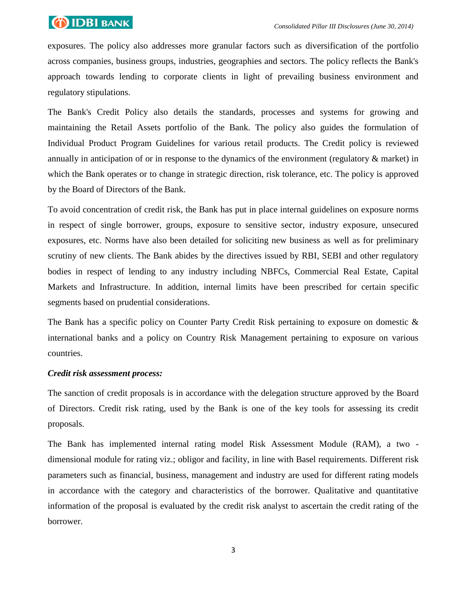

exposures. The policy also addresses more granular factors such as diversification of the portfolio across companies, business groups, industries, geographies and sectors. The policy reflects the Bank's approach towards lending to corporate clients in light of prevailing business environment and regulatory stipulations.

The Bank's Credit Policy also details the standards, processes and systems for growing and maintaining the Retail Assets portfolio of the Bank. The policy also guides the formulation of Individual Product Program Guidelines for various retail products. The Credit policy is reviewed annually in anticipation of or in response to the dynamics of the environment (regulatory & market) in which the Bank operates or to change in strategic direction, risk tolerance, etc. The policy is approved by the Board of Directors of the Bank.

To avoid concentration of credit risk, the Bank has put in place internal guidelines on exposure norms in respect of single borrower, groups, exposure to sensitive sector, industry exposure, unsecured exposures, etc. Norms have also been detailed for soliciting new business as well as for preliminary scrutiny of new clients. The Bank abides by the directives issued by RBI, SEBI and other regulatory bodies in respect of lending to any industry including NBFCs, Commercial Real Estate, Capital Markets and Infrastructure. In addition, internal limits have been prescribed for certain specific segments based on prudential considerations.

The Bank has a specific policy on Counter Party Credit Risk pertaining to exposure on domestic & international banks and a policy on Country Risk Management pertaining to exposure on various countries.

### *Credit risk assessment process:*

The sanction of credit proposals is in accordance with the delegation structure approved by the Board of Directors. Credit risk rating, used by the Bank is one of the key tools for assessing its credit proposals.

The Bank has implemented internal rating model Risk Assessment Module (RAM), a two dimensional module for rating viz.; obligor and facility, in line with Basel requirements. Different risk parameters such as financial, business, management and industry are used for different rating models in accordance with the category and characteristics of the borrower. Qualitative and quantitative information of the proposal is evaluated by the credit risk analyst to ascertain the credit rating of the borrower.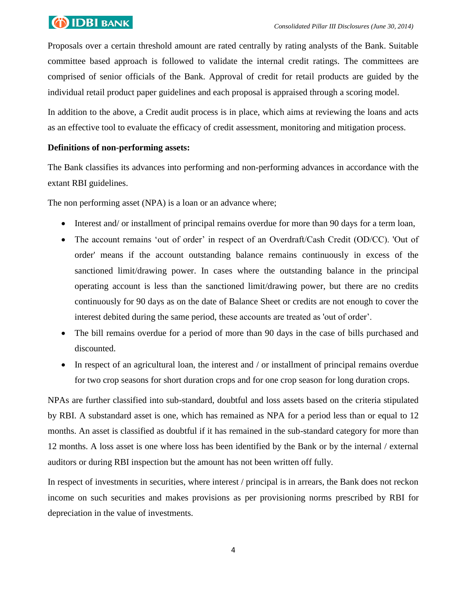# **OIDBI** BANK

Proposals over a certain threshold amount are rated centrally by rating analysts of the Bank. Suitable committee based approach is followed to validate the internal credit ratings. The committees are comprised of senior officials of the Bank. Approval of credit for retail products are guided by the individual retail product paper guidelines and each proposal is appraised through a scoring model.

In addition to the above, a Credit audit process is in place, which aims at reviewing the loans and acts as an effective tool to evaluate the efficacy of credit assessment, monitoring and mitigation process.

## **Definitions of non-performing assets:**

The Bank classifies its advances into performing and non-performing advances in accordance with the extant RBI guidelines.

The non performing asset (NPA) is a loan or an advance where;

- Interest and/ or installment of principal remains overdue for more than 90 days for a term loan,
- The account remains 'out of order' in respect of an Overdraft/Cash Credit (OD/CC). 'Out of order' means if the account outstanding balance remains continuously in excess of the sanctioned limit/drawing power. In cases where the outstanding balance in the principal operating account is less than the sanctioned limit/drawing power, but there are no credits continuously for 90 days as on the date of Balance Sheet or credits are not enough to cover the interest debited during the same period, these accounts are treated as 'out of order'.
- The bill remains overdue for a period of more than 90 days in the case of bills purchased and discounted.
- In respect of an agricultural loan, the interest and  $\ell$  or installment of principal remains overdue for two crop seasons for short duration crops and for one crop season for long duration crops.

NPAs are further classified into sub-standard, doubtful and loss assets based on the criteria stipulated by RBI. A substandard asset is one, which has remained as NPA for a period less than or equal to 12 months. An asset is classified as doubtful if it has remained in the sub-standard category for more than 12 months. A loss asset is one where loss has been identified by the Bank or by the internal / external auditors or during RBI inspection but the amount has not been written off fully.

In respect of investments in securities, where interest / principal is in arrears, the Bank does not reckon income on such securities and makes provisions as per provisioning norms prescribed by RBI for depreciation in the value of investments.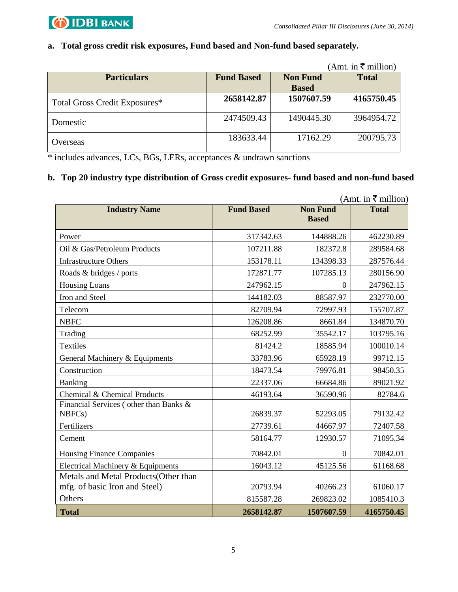

## **a. Total gross credit risk exposures, Fund based and Non-fund based separately.**

|                               |                   |                 | (Amt. in ₹ million) |
|-------------------------------|-------------------|-----------------|---------------------|
| <b>Particulars</b>            | <b>Fund Based</b> | <b>Non Fund</b> | <b>Total</b>        |
|                               |                   | <b>Based</b>    |                     |
| Total Gross Credit Exposures* | 2658142.87        | 1507607.59      | 4165750.45          |
| Domestic                      | 2474509.43        | 1490445.30      | 3964954.72          |
| Overseas                      | 183633.44         | 17162.29        | 200795.73           |

\* includes advances, LCs, BGs, LERs, acceptances & undrawn sanctions

### **b. Top 20 industry type distribution of Gross credit exposures- fund based and non-fund based**

| (Amt. in ₹ million)                              |                   |                                 |              |
|--------------------------------------------------|-------------------|---------------------------------|--------------|
| <b>Industry Name</b>                             | <b>Fund Based</b> | <b>Non Fund</b><br><b>Based</b> | <b>Total</b> |
| Power                                            | 317342.63         | 144888.26                       | 462230.89    |
| Oil & Gas/Petroleum Products                     | 107211.88         | 182372.8                        | 289584.68    |
| <b>Infrastructure Others</b>                     | 153178.11         | 134398.33                       | 287576.44    |
| Roads & bridges / ports                          | 172871.77         | 107285.13                       | 280156.90    |
| <b>Housing Loans</b>                             | 247962.15         | $\theta$                        | 247962.15    |
| Iron and Steel                                   | 144182.03         | 88587.97                        | 232770.00    |
| Telecom                                          | 82709.94          | 72997.93                        | 155707.87    |
| <b>NBFC</b>                                      | 126208.86         | 8661.84                         | 134870.70    |
| Trading                                          | 68252.99          | 35542.17                        | 103795.16    |
| Textiles                                         | 81424.2           | 18585.94                        | 100010.14    |
| General Machinery & Equipments                   | 33783.96          | 65928.19                        | 99712.15     |
| Construction                                     | 18473.54          | 79976.81                        | 98450.35     |
| Banking                                          | 22337.06          | 66684.86                        | 89021.92     |
| Chemical & Chemical Products                     | 46193.64          | 36590.96                        | 82784.6      |
| Financial Services (other than Banks &<br>NBFCs) | 26839.37          | 52293.05                        | 79132.42     |
| Fertilizers                                      | 27739.61          | 44667.97                        | 72407.58     |
| Cement                                           | 58164.77          | 12930.57                        | 71095.34     |
| <b>Housing Finance Companies</b>                 | 70842.01          | $\overline{0}$                  | 70842.01     |
| Electrical Machinery & Equipments                | 16043.12          | 45125.56                        | 61168.68     |
| Metals and Metal Products (Other than            |                   |                                 |              |
| mfg. of basic Iron and Steel)                    | 20793.94          | 40266.23                        | 61060.17     |
| Others                                           | 815587.28         | 269823.02                       | 1085410.3    |
| <b>Total</b>                                     | 2658142.87        | 1507607.59                      | 4165750.45   |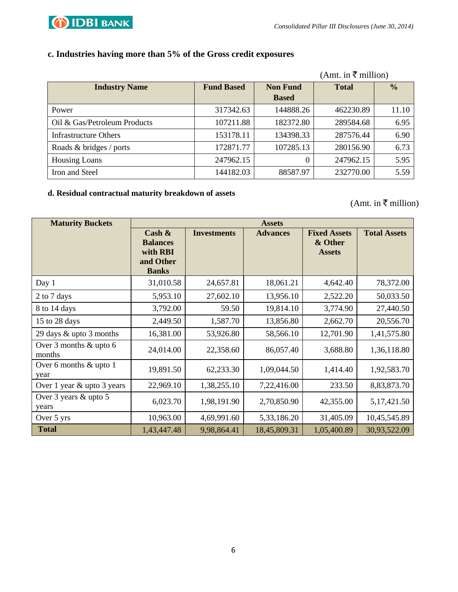

## **c. Industries having more than 5% of the Gross credit exposures**

|                              |                   |                 | (Amt. in ₹ million) |               |
|------------------------------|-------------------|-----------------|---------------------|---------------|
| <b>Industry Name</b>         | <b>Fund Based</b> | <b>Non Fund</b> | <b>Total</b>        | $\frac{0}{0}$ |
|                              |                   | <b>Based</b>    |                     |               |
| Power                        | 317342.63         | 144888.26       | 462230.89           | 11.10         |
| Oil & Gas/Petroleum Products | 107211.88         | 182372.80       | 289584.68           | 6.95          |
| <b>Infrastructure Others</b> | 153178.11         | 134398.33       | 287576.44           | 6.90          |
| Roads & bridges / ports      | 172871.77         | 107285.13       | 280156.90           | 6.73          |
| <b>Housing Loans</b>         | 247962.15         |                 | 247962.15           | 5.95          |
| Iron and Steel               | 144182.03         | 88587.97        | 232770.00           | 5.59          |

### **d. Residual contractual maturity breakdown of assets**

(Amt. in  $\overline{\overline{\xi}}$  million)

| <b>Maturity Buckets</b>          | <b>Assets</b>                                                         |                    |                 |                                                 |                     |
|----------------------------------|-----------------------------------------------------------------------|--------------------|-----------------|-------------------------------------------------|---------------------|
|                                  | Cash $\&$<br><b>Balances</b><br>with RBI<br>and Other<br><b>Banks</b> | <b>Investments</b> | <b>Advances</b> | <b>Fixed Assets</b><br>& Other<br><b>Assets</b> | <b>Total Assets</b> |
| Day 1                            | 31,010.58                                                             | 24,657.81          | 18,061.21       | 4,642.40                                        | 78,372.00           |
| 2 to 7 days                      | 5,953.10                                                              | 27,602.10          | 13,956.10       | 2,522.20                                        | 50,033.50           |
| 8 to 14 days                     | 3,792.00                                                              | 59.50              | 19,814.10       | 3,774.90                                        | 27,440.50           |
| 15 to 28 days                    | 2,449.50                                                              | 1,587.70           | 13,856.80       | 2,662.70                                        | 20,556.70           |
| 29 days & upto 3 months          | 16,381.00                                                             | 53,926.80          | 58,566.10       | 12,701.90                                       | 1,41,575.80         |
| Over 3 months & upto 6<br>months | 24,014.00                                                             | 22,358.60          | 86,057.40       | 3,688.80                                        | 1,36,118.80         |
| Over 6 months & upto 1<br>year   | 19,891.50                                                             | 62,233.30          | 1,09,044.50     | 1,414.40                                        | 1,92,583.70         |
| Over 1 year & upto 3 years       | 22,969.10                                                             | 1,38,255.10        | 7,22,416.00     | 233.50                                          | 8,83,873.70         |
| Over 3 years & upto 5<br>years   | 6,023.70                                                              | 1,98,191.90        | 2,70,850.90     | 42,355.00                                       | 5, 17, 421.50       |
| Over 5 yrs                       | 10,963.00                                                             | 4,69,991.60        | 5,33,186.20     | 31,405.09                                       | 10,45,545.89        |
| <b>Total</b>                     | 1,43,447.48                                                           | 9,98,864.41        | 18,45,809.31    | 1,05,400.89                                     | 30,93,522.09        |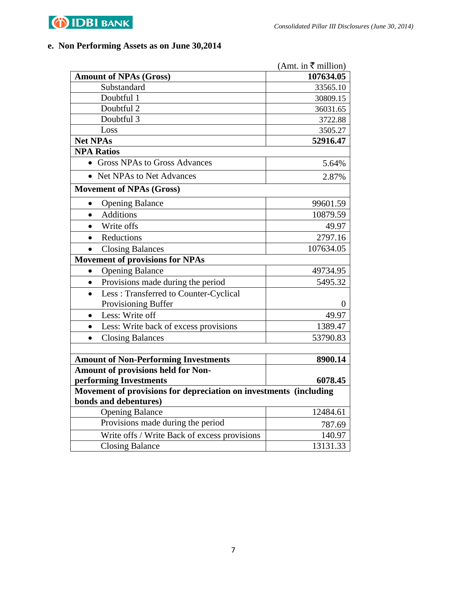

## **e. Non Performing Assets as on June 30,2014**

|                                                                                            | (Amt. in ₹ million) |
|--------------------------------------------------------------------------------------------|---------------------|
| <b>Amount of NPAs (Gross)</b>                                                              | 107634.05           |
| Substandard                                                                                | 33565.10            |
| Doubtful 1                                                                                 | 30809.15            |
| Doubtful 2                                                                                 | 36031.65            |
| Doubtful 3                                                                                 | 3722.88             |
| Loss                                                                                       | 3505.27             |
| <b>Net NPAs</b>                                                                            | 52916.47            |
| <b>NPA Ratios</b>                                                                          |                     |
| • Gross NPAs to Gross Advances                                                             | 5.64%               |
| • Net NPAs to Net Advances                                                                 | 2.87%               |
| <b>Movement of NPAs (Gross)</b>                                                            |                     |
| <b>Opening Balance</b>                                                                     | 99601.59            |
| <b>Additions</b><br>$\bullet$                                                              | 10879.59            |
| Write offs<br>$\bullet$                                                                    | 49.97               |
| Reductions<br>$\bullet$                                                                    | 2797.16             |
| <b>Closing Balances</b><br>$\bullet$                                                       | 107634.05           |
| <b>Movement of provisions for NPAs</b>                                                     |                     |
| <b>Opening Balance</b><br>$\bullet$                                                        | 49734.95            |
| Provisions made during the period<br>$\bullet$                                             | 5495.32             |
| Less: Transferred to Counter-Cyclical<br>$\bullet$                                         |                     |
| Provisioning Buffer                                                                        | $\theta$            |
| Less: Write off<br>$\bullet$                                                               | 49.97               |
| Less: Write back of excess provisions<br>$\bullet$                                         | 1389.47             |
| <b>Closing Balances</b><br>$\bullet$                                                       | 53790.83            |
|                                                                                            |                     |
| <b>Amount of Non-Performing Investments</b>                                                | 8900.14             |
| Amount of provisions held for Non-                                                         |                     |
| performing Investments                                                                     | 6078.45             |
| Movement of provisions for depreciation on investments (including<br>bonds and debentures) |                     |
| <b>Opening Balance</b>                                                                     | 12484.61            |
| Provisions made during the period                                                          | 787.69              |
| Write offs / Write Back of excess provisions                                               | 140.97              |
| <b>Closing Balance</b>                                                                     | 13131.33            |